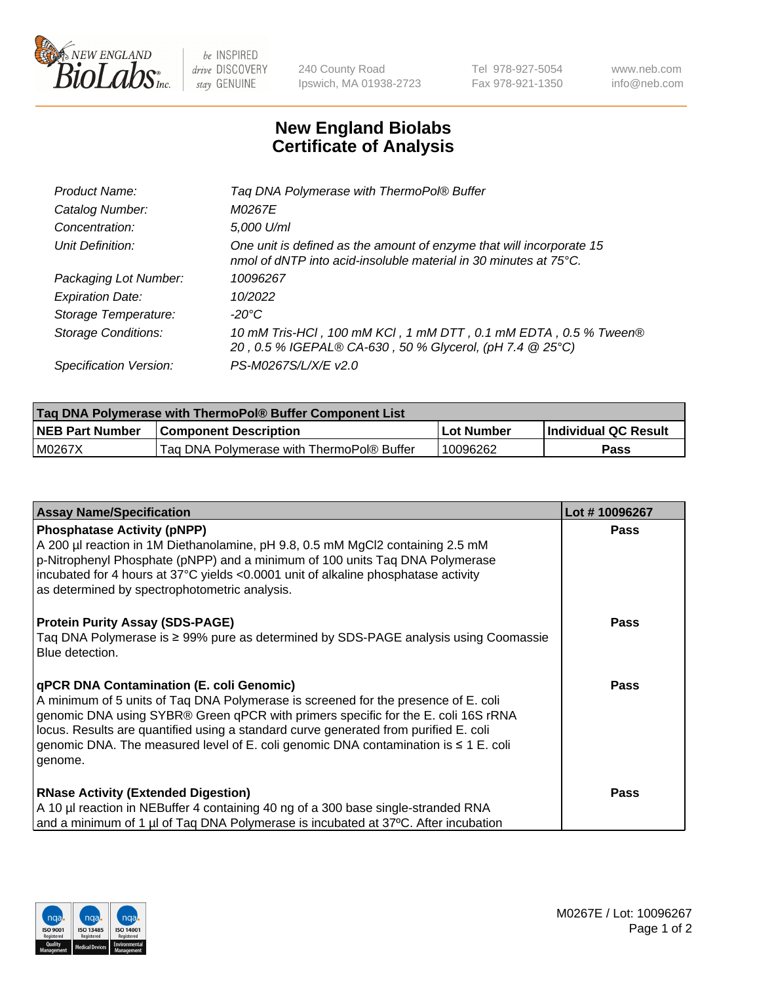

 $be$  INSPIRED drive DISCOVERY stay GENUINE

240 County Road Ipswich, MA 01938-2723 Tel 978-927-5054 Fax 978-921-1350 www.neb.com info@neb.com

## **New England Biolabs Certificate of Analysis**

| Product Name:              | Tag DNA Polymerase with ThermoPol® Buffer                                                                                                |
|----------------------------|------------------------------------------------------------------------------------------------------------------------------------------|
| Catalog Number:            | M0267E                                                                                                                                   |
| Concentration:             | 5,000 U/ml                                                                                                                               |
| Unit Definition:           | One unit is defined as the amount of enzyme that will incorporate 15<br>nmol of dNTP into acid-insoluble material in 30 minutes at 75°C. |
| Packaging Lot Number:      | 10096267                                                                                                                                 |
| <b>Expiration Date:</b>    | 10/2022                                                                                                                                  |
| Storage Temperature:       | $-20^{\circ}$ C                                                                                                                          |
| <b>Storage Conditions:</b> | 10 mM Tris-HCl, 100 mM KCl, 1 mM DTT, 0.1 mM EDTA, 0.5 % Tween®<br>20, 0.5 % IGEPAL® CA-630, 50 % Glycerol, (pH 7.4 @ 25°C)              |
| Specification Version:     | PS-M0267S/L/X/E v2.0                                                                                                                     |

| Taq DNA Polymerase with ThermoPol® Buffer Component List |                                           |             |                      |  |
|----------------------------------------------------------|-------------------------------------------|-------------|----------------------|--|
| <b>NEB Part Number</b>                                   | <b>Component Description</b>              | ∣Lot Number | Individual QC Result |  |
| M0267X                                                   | Tag DNA Polymerase with ThermoPol® Buffer | 10096262    | Pass                 |  |

| <b>Assay Name/Specification</b>                                                                                                                                                                                                                                                                                                                                                                                    | Lot #10096267 |
|--------------------------------------------------------------------------------------------------------------------------------------------------------------------------------------------------------------------------------------------------------------------------------------------------------------------------------------------------------------------------------------------------------------------|---------------|
| <b>Phosphatase Activity (pNPP)</b><br>A 200 µl reaction in 1M Diethanolamine, pH 9.8, 0.5 mM MgCl2 containing 2.5 mM<br>p-Nitrophenyl Phosphate (pNPP) and a minimum of 100 units Taq DNA Polymerase<br>incubated for 4 hours at 37°C yields <0.0001 unit of alkaline phosphatase activity<br>as determined by spectrophotometric analysis.                                                                        | <b>Pass</b>   |
| <b>Protein Purity Assay (SDS-PAGE)</b><br>Taq DNA Polymerase is ≥ 99% pure as determined by SDS-PAGE analysis using Coomassie<br>Blue detection.                                                                                                                                                                                                                                                                   | <b>Pass</b>   |
| qPCR DNA Contamination (E. coli Genomic)<br>A minimum of 5 units of Tag DNA Polymerase is screened for the presence of E. coli<br>genomic DNA using SYBR® Green qPCR with primers specific for the E. coli 16S rRNA<br>locus. Results are quantified using a standard curve generated from purified E. coli<br>genomic DNA. The measured level of E. coli genomic DNA contamination is $\leq 1$ E. coli<br>genome. | <b>Pass</b>   |
| <b>RNase Activity (Extended Digestion)</b><br>A 10 µl reaction in NEBuffer 4 containing 40 ng of a 300 base single-stranded RNA<br>and a minimum of 1 µl of Taq DNA Polymerase is incubated at 37°C. After incubation                                                                                                                                                                                              | Pass          |